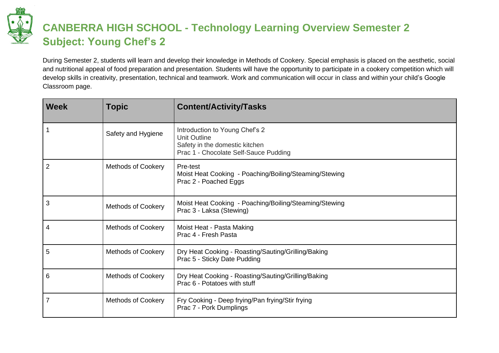

### **CANBERRA HIGH SCHOOL - Technology Learning Overview Semester 2 Subject: Young Chef's 2**

During Semester 2, students will learn and develop their knowledge in Methods of Cookery. Special emphasis is placed on the aesthetic, social and nutritional appeal of food preparation and presentation. Students will have the opportunity to participate in a cookery competition which will develop skills in creativity, presentation, technical and teamwork. Work and communication will occur in class and within your child's Google Classroom page.

| <b>Week</b>    | <b>Topic</b>              | <b>Content/Activity/Tasks</b>                                                                                                    |
|----------------|---------------------------|----------------------------------------------------------------------------------------------------------------------------------|
|                | Safety and Hygiene        | Introduction to Young Chef's 2<br><b>Unit Outline</b><br>Safety in the domestic kitchen<br>Prac 1 - Chocolate Self-Sauce Pudding |
| $\overline{2}$ | <b>Methods of Cookery</b> | Pre-test<br>Moist Heat Cooking - Poaching/Boiling/Steaming/Stewing<br>Prac 2 - Poached Eggs                                      |
| 3              | Methods of Cookery        | Moist Heat Cooking - Poaching/Boiling/Steaming/Stewing<br>Prac 3 - Laksa (Stewing)                                               |
| 4              | <b>Methods of Cookery</b> | Moist Heat - Pasta Making<br>Prac 4 - Fresh Pasta                                                                                |
| 5              | <b>Methods of Cookery</b> | Dry Heat Cooking - Roasting/Sauting/Grilling/Baking<br>Prac 5 - Sticky Date Pudding                                              |
| 6              | <b>Methods of Cookery</b> | Dry Heat Cooking - Roasting/Sauting/Grilling/Baking<br>Prac 6 - Potatoes with stuff                                              |
| $\overline{7}$ | <b>Methods of Cookery</b> | Fry Cooking - Deep frying/Pan frying/Stir frying<br>Prac 7 - Pork Dumplings                                                      |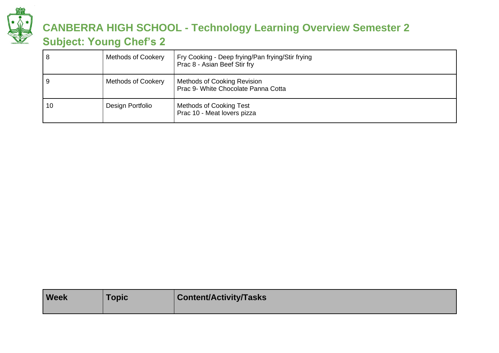

# **CANBERRA HIGH SCHOOL - Technology Learning Overview Semester 2**

### **Subject: Young Chef's 2**

| 8  | <b>Methods of Cookery</b> | Fry Cooking - Deep frying/Pan frying/Stir frying<br>Prac 8 - Asian Beef Stir fry |
|----|---------------------------|----------------------------------------------------------------------------------|
| 9  | <b>Methods of Cookery</b> | <b>Methods of Cooking Revision</b><br>Prac 9- White Chocolate Panna Cotta        |
| 10 | Design Portfolio          | <b>Methods of Cooking Test</b><br>Prac 10 - Meat lovers pizza                    |

| <b>Week</b> | <b>Topic</b> | <b>Content/Activity/Tasks</b> |
|-------------|--------------|-------------------------------|
|             |              |                               |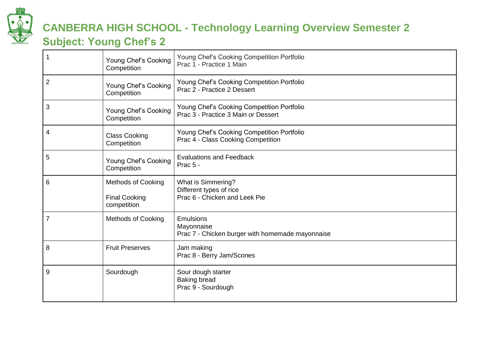

## **CANBERRA HIGH SCHOOL - Technology Learning Overview Semester 2**

### **Subject: Young Chef's 2**

|                | Young Chef's Cooking<br>Competition                              | Young Chef's Cooking Competition Portfolio<br>Prac 1 - Practice 1 Main                |
|----------------|------------------------------------------------------------------|---------------------------------------------------------------------------------------|
| $\overline{2}$ | Young Chef's Cooking<br>Competition                              | Young Chef's Cooking Competition Portfolio<br>Prac 2 - Practice 2 Dessert             |
| 3              | Young Chef's Cooking<br>Competition                              | Young Chef's Cooking Competition Portfolio<br>Prac 3 - Practice 3 Main or Dessert     |
| 4              | <b>Class Cooking</b><br>Competition                              | Young Chef's Cooking Competition Portfolio<br>Prac 4 - Class Cooking Competition      |
| 5              | Young Chef's Cooking<br>Competition                              | <b>Evaluations and Feedback</b><br>Prac 5 -                                           |
| 6              | <b>Methods of Cooking</b><br><b>Final Cooking</b><br>competition | <b>What is Simmering?</b><br>Different types of rice<br>Prac 6 - Chicken and Leek Pie |
| $\overline{7}$ | <b>Methods of Cooking</b>                                        | <b>Emulsions</b><br>Mayonnaise<br>Prac 7 - Chicken burger with homemade mayonnaise    |
| 8              | <b>Fruit Preserves</b>                                           | Jam making<br>Prac 8 - Berry Jam/Scones                                               |
| 9              | Sourdough                                                        | Sour dough starter<br><b>Baking bread</b><br>Prac 9 - Sourdough                       |